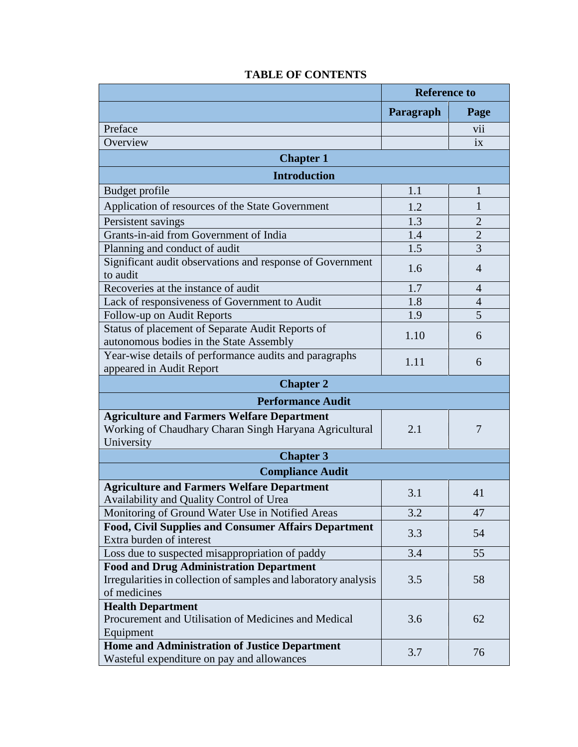|                                                                                                    | <b>Reference to</b> |                |  |
|----------------------------------------------------------------------------------------------------|---------------------|----------------|--|
|                                                                                                    | Paragraph           | Page           |  |
| Preface                                                                                            |                     | V11            |  |
| Overview                                                                                           |                     | ix             |  |
| <b>Chapter 1</b>                                                                                   |                     |                |  |
| <b>Introduction</b>                                                                                |                     |                |  |
| Budget profile                                                                                     | 1.1                 | 1              |  |
| Application of resources of the State Government                                                   | 1.2                 | 1              |  |
| Persistent savings                                                                                 | 1.3                 | $\overline{2}$ |  |
| Grants-in-aid from Government of India                                                             | 1.4                 | $\overline{2}$ |  |
| Planning and conduct of audit                                                                      | 1.5                 | 3              |  |
| Significant audit observations and response of Government<br>to audit                              | 1.6                 | $\overline{4}$ |  |
| Recoveries at the instance of audit                                                                | 1.7                 | $\overline{4}$ |  |
| Lack of responsiveness of Government to Audit                                                      | 1.8                 | $\overline{4}$ |  |
| Follow-up on Audit Reports                                                                         | 1.9                 | 5              |  |
| Status of placement of Separate Audit Reports of<br>autonomous bodies in the State Assembly        | 1.10                | 6              |  |
| Year-wise details of performance audits and paragraphs<br>appeared in Audit Report                 | 1.11                | 6              |  |
| <b>Chapter 2</b>                                                                                   |                     |                |  |
| <b>Performance Audit</b>                                                                           |                     |                |  |
| <b>Agriculture and Farmers Welfare Department</b>                                                  |                     |                |  |
| Working of Chaudhary Charan Singh Haryana Agricultural<br>University                               | 2.1                 | 7              |  |
| <b>Chapter 3</b>                                                                                   |                     |                |  |
| <b>Compliance Audit</b>                                                                            |                     |                |  |
| <b>Agriculture and Farmers Welfare Department</b><br>Availability and Quality Control of Urea      | 3.1                 | 41             |  |
| Monitoring of Ground Water Use in Notified Areas                                                   | 3.2                 | 47             |  |
| Food, Civil Supplies and Consumer Affairs Department<br>Extra burden of interest                   | 3.3                 | 54             |  |
| Loss due to suspected misappropriation of paddy                                                    | 3.4                 | 55             |  |
| <b>Food and Drug Administration Department</b>                                                     |                     |                |  |
| Irregularities in collection of samples and laboratory analysis<br>of medicines                    | 3.5                 | 58             |  |
| <b>Health Department</b><br>Procurement and Utilisation of Medicines and Medical<br>Equipment      | 3.6                 | 62             |  |
| <b>Home and Administration of Justice Department</b><br>Wasteful expenditure on pay and allowances | 3.7                 | 76             |  |

## **TABLE OF CONTENTS**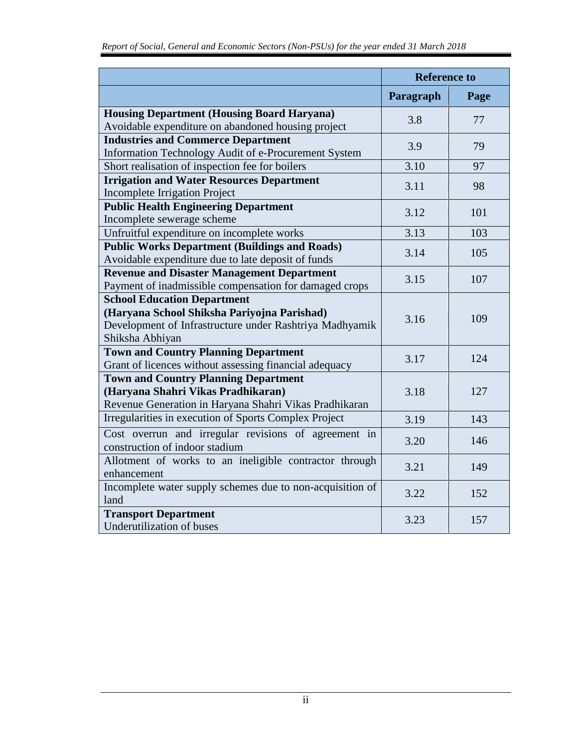|                                                           | <b>Reference to</b> |      |
|-----------------------------------------------------------|---------------------|------|
|                                                           | Paragraph           | Page |
| <b>Housing Department (Housing Board Haryana)</b><br>3.8  |                     | 77   |
| Avoidable expenditure on abandoned housing project        |                     |      |
| <b>Industries and Commerce Department</b>                 | 3.9                 | 79   |
| Information Technology Audit of e-Procurement System      |                     |      |
| Short realisation of inspection fee for boilers           | 3.10                | 97   |
| <b>Irrigation and Water Resources Department</b>          | 3.11                | 98   |
| <b>Incomplete Irrigation Project</b>                      |                     |      |
| <b>Public Health Engineering Department</b>               | 3.12                | 101  |
| Incomplete sewerage scheme                                |                     |      |
| Unfruitful expenditure on incomplete works                | 3.13                | 103  |
| <b>Public Works Department (Buildings and Roads)</b>      | 3.14                | 105  |
| Avoidable expenditure due to late deposit of funds        |                     |      |
| <b>Revenue and Disaster Management Department</b>         | 3.15                | 107  |
| Payment of inadmissible compensation for damaged crops    |                     |      |
| <b>School Education Department</b>                        |                     |      |
| (Haryana School Shiksha Pariyojna Parishad)               | 3.16                | 109  |
| Development of Infrastructure under Rashtriya Madhyamik   |                     |      |
| Shiksha Abhiyan                                           |                     |      |
| <b>Town and Country Planning Department</b>               | 3.17                | 124  |
| Grant of licences without assessing financial adequacy    |                     |      |
| <b>Town and Country Planning Department</b>               |                     |      |
| (Haryana Shahri Vikas Pradhikaran)                        | 3.18                | 127  |
| Revenue Generation in Haryana Shahri Vikas Pradhikaran    |                     |      |
| Irregularities in execution of Sports Complex Project     | 3.19                | 143  |
| Cost overrun and irregular revisions of agreement in      |                     |      |
| construction of indoor stadium                            | 3.20                | 146  |
| Allotment of works to an ineligible contractor through    |                     |      |
| enhancement                                               | 3.21                | 149  |
| Incomplete water supply schemes due to non-acquisition of |                     |      |
| land                                                      | 3.22                | 152  |
| <b>Transport Department</b>                               | 3.23                | 157  |
| Underutilization of buses                                 |                     |      |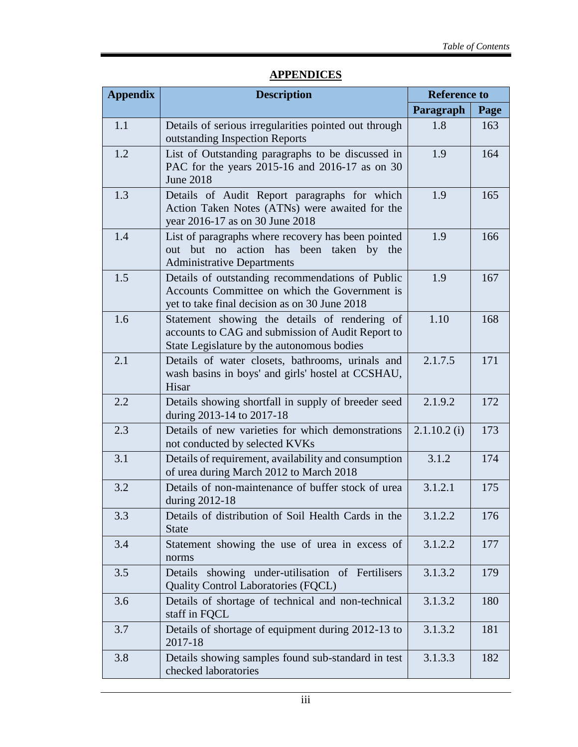| <b>Appendix</b> | <b>Description</b>                                                                                                                                 | <b>Reference to</b> |      |
|-----------------|----------------------------------------------------------------------------------------------------------------------------------------------------|---------------------|------|
|                 |                                                                                                                                                    | Paragraph           | Page |
| 1.1             | Details of serious irregularities pointed out through<br>outstanding Inspection Reports                                                            | 1.8                 | 163  |
| 1.2             | List of Outstanding paragraphs to be discussed in<br>PAC for the years 2015-16 and 2016-17 as on 30<br><b>June 2018</b>                            | 1.9                 | 164  |
| 1.3             | Details of Audit Report paragraphs for which<br>Action Taken Notes (ATNs) were awaited for the<br>year 2016-17 as on 30 June 2018                  | 1.9                 | 165  |
| 1.4             | List of paragraphs where recovery has been pointed<br>action has<br>been taken by the<br>out but no<br><b>Administrative Departments</b>           | 1.9                 | 166  |
| 1.5             | Details of outstanding recommendations of Public<br>Accounts Committee on which the Government is<br>yet to take final decision as on 30 June 2018 | 1.9                 | 167  |
| 1.6             | Statement showing the details of rendering of<br>accounts to CAG and submission of Audit Report to<br>State Legislature by the autonomous bodies   | 1.10                | 168  |
| 2.1             | Details of water closets, bathrooms, urinals and<br>wash basins in boys' and girls' hostel at CCSHAU,<br>Hisar                                     | 2.1.7.5             | 171  |
| 2.2             | Details showing shortfall in supply of breeder seed<br>during 2013-14 to 2017-18                                                                   | 2.1.9.2             | 172  |
| 2.3             | Details of new varieties for which demonstrations<br>not conducted by selected KVKs                                                                | $2.1.10.2$ (i)      | 173  |
| 3.1             | Details of requirement, availability and consumption<br>of urea during March 2012 to March 2018                                                    | 3.1.2               | 174  |
| 3.2             | Details of non-maintenance of buffer stock of urea<br>during 2012-18                                                                               | 3.1.2.1             | 175  |
| 3.3             | Details of distribution of Soil Health Cards in the<br><b>State</b>                                                                                | 3.1.2.2             | 176  |
| 3.4             | Statement showing the use of urea in excess of<br>norms                                                                                            | 3.1.2.2             | 177  |
| 3.5             | showing under-utilisation of Fertilisers<br>Details<br>Quality Control Laboratories (FQCL)                                                         | 3.1.3.2             | 179  |
| 3.6             | Details of shortage of technical and non-technical<br>staff in FQCL                                                                                | 3.1.3.2             | 180  |
| 3.7             | Details of shortage of equipment during 2012-13 to<br>2017-18                                                                                      | 3.1.3.2             | 181  |
| 3.8             | Details showing samples found sub-standard in test<br>checked laboratories                                                                         | 3.1.3.3             | 182  |

## **APPENDICES**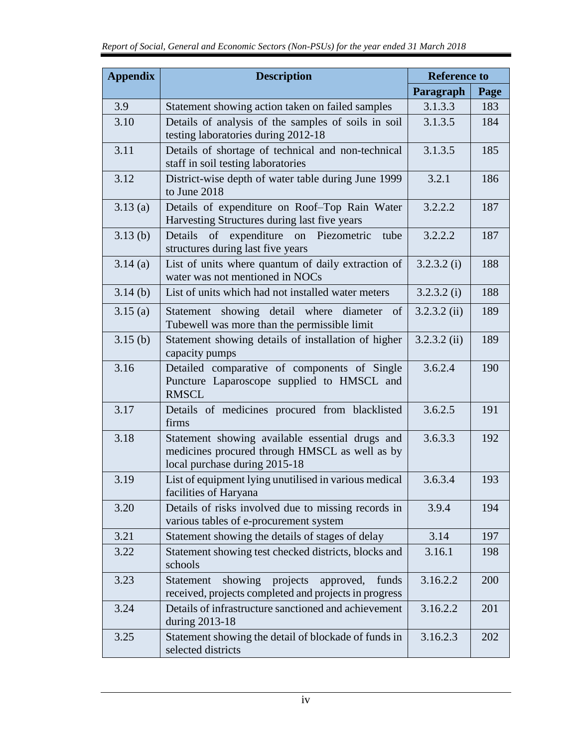| <b>Appendix</b> | <b>Description</b>                                                                                                                 | <b>Reference to</b> |      |
|-----------------|------------------------------------------------------------------------------------------------------------------------------------|---------------------|------|
|                 |                                                                                                                                    | Paragraph           | Page |
| 3.9             | Statement showing action taken on failed samples                                                                                   | 3.1.3.3             | 183  |
| 3.10            | Details of analysis of the samples of soils in soil<br>testing laboratories during 2012-18                                         | 3.1.3.5             | 184  |
| 3.11            | Details of shortage of technical and non-technical<br>staff in soil testing laboratories                                           | 3.1.3.5             | 185  |
| 3.12            | District-wise depth of water table during June 1999<br>to June 2018                                                                | 3.2.1               | 186  |
| 3.13(a)         | Details of expenditure on Roof-Top Rain Water<br>Harvesting Structures during last five years                                      | 3.2.2.2             | 187  |
| 3.13(b)         | expenditure on Piezometric<br>Details<br>of<br>tube<br>structures during last five years                                           | 3.2.2.2             | 187  |
| 3.14(a)         | List of units where quantum of daily extraction of<br>water was not mentioned in NOCs                                              | 3.2.3.2(i)          | 188  |
| 3.14(b)         | List of units which had not installed water meters                                                                                 | 3.2.3.2(i)          | 188  |
| 3.15(a)         | Statement showing detail where diameter<br>of<br>Tubewell was more than the permissible limit                                      | $3.2.3.2$ (ii)      | 189  |
| 3.15(b)         | Statement showing details of installation of higher<br>capacity pumps                                                              | $3.2.3.2$ (ii)      | 189  |
| 3.16            | Detailed comparative of components of Single<br>Puncture Laparoscope supplied to HMSCL and<br><b>RMSCL</b>                         | 3.6.2.4             | 190  |
| 3.17            | Details of medicines procured from blacklisted<br>firms                                                                            | 3.6.2.5             | 191  |
| 3.18            | Statement showing available essential drugs and<br>medicines procured through HMSCL as well as by<br>local purchase during 2015-18 | 3.6.3.3             | 192  |
| 3.19            | List of equipment lying unutilised in various medical<br>facilities of Haryana                                                     | 3.6.3.4             | 193  |
| 3.20            | Details of risks involved due to missing records in<br>various tables of e-procurement system                                      | 3.9.4               | 194  |
| 3.21            | Statement showing the details of stages of delay                                                                                   | 3.14                | 197  |
| 3.22            | Statement showing test checked districts, blocks and<br>schools                                                                    | 3.16.1              | 198  |
| 3.23            | showing<br>projects<br>approved,<br>funds<br><b>Statement</b><br>received, projects completed and projects in progress             | 3.16.2.2            | 200  |
| 3.24            | Details of infrastructure sanctioned and achievement<br>during 2013-18                                                             | 3.16.2.2            | 201  |
| 3.25            | Statement showing the detail of blockade of funds in<br>selected districts                                                         | 3.16.2.3            | 202  |